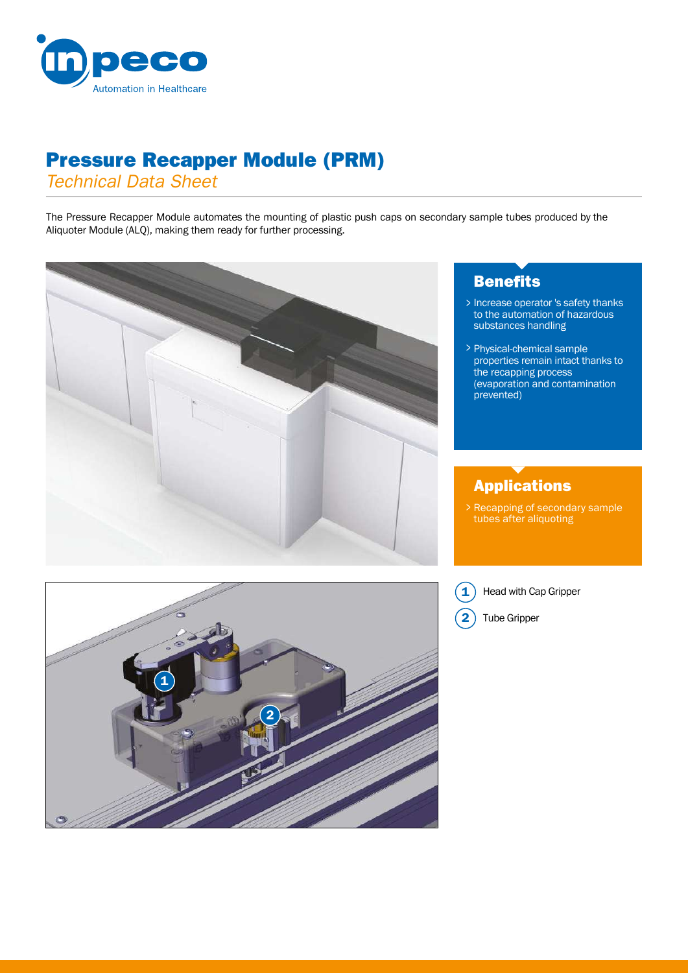

# Pressure Recapper Module (PRM)

*Technical Data Sheet*

The Pressure Recapper Module automates the mounting of plastic push caps on secondary sample tubes produced by the Aliquoter Module (ALQ), making them ready for further processing.



## **Benefits**

- Increase operator 's safety thanks to the automation of hazardous > substances handling
- Physical-chemical sample > properties remain intact thanks to the recapping process (evaporation and contamination prevented)

## Applications

Recapping of secondary sample tubes after aliquoting >



 $\mathbf{1}$ Head with Cap Gripper